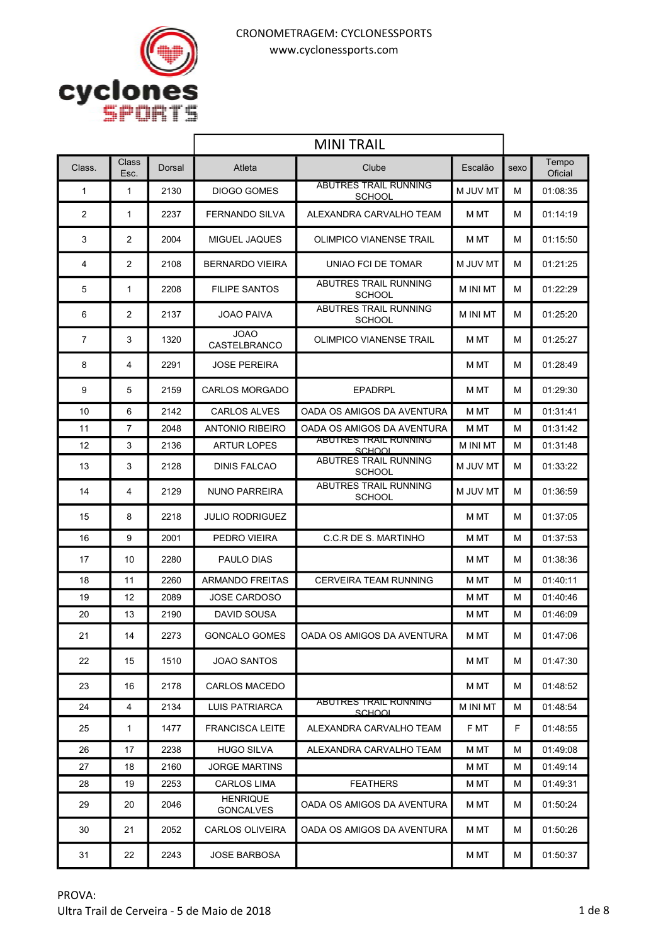

|                |                |        | <b>MINI TRAIL</b>                   |                                               |                 |      |                  |
|----------------|----------------|--------|-------------------------------------|-----------------------------------------------|-----------------|------|------------------|
| Class.         | Class<br>Esc.  | Dorsal | Atleta                              | Clube                                         | Escalão         | sexo | Tempo<br>Oficial |
| $\mathbf{1}$   | $\mathbf{1}$   | 2130   | <b>DIOGO GOMES</b>                  | <b>ABUTRES TRAIL RUNNING</b><br>SCHOOL        | M JUV MT        | м    | 01:08:35         |
| 2              | 1              | 2237   | <b>FERNANDO SILVA</b>               | ALEXANDRA CARVALHO TEAM                       | M MT            | м    | 01:14:19         |
| 3              | $\overline{2}$ | 2004   | MIGUEL JAQUES                       | <b>OLIMPICO VIANENSE TRAIL</b>                | M MT            | м    | 01:15:50         |
| 4              | $\overline{2}$ | 2108   | <b>BERNARDO VIEIRA</b>              | UNIAO FCI DE TOMAR                            | M JUV MT        | М    | 01:21:25         |
| 5              | 1              | 2208   | <b>FILIPE SANTOS</b>                | ABUTRES TRAIL RUNNING<br><b>SCHOOL</b>        | M INI MT        | М    | 01:22:29         |
| 6              | $\overline{2}$ | 2137   | <b>JOAO PAIVA</b>                   | <b>ABUTRES TRAIL RUNNING</b><br><b>SCHOOL</b> | <b>M INI MT</b> | м    | 01:25:20         |
| $\overline{7}$ | 3              | 1320   | <b>JOAO</b><br>CASTELBRANCO         | OLIMPICO VIANENSE TRAIL                       | M MT            | м    | 01:25:27         |
| 8              | 4              | 2291   | JOSE PEREIRA                        |                                               | M MT            | м    | 01:28:49         |
| 9              | 5              | 2159   | <b>CARLOS MORGADO</b>               | <b>EPADRPL</b>                                | M MT            | м    | 01:29:30         |
| 10             | 6              | 2142   | <b>CARLOS ALVES</b>                 | OADA OS AMIGOS DA AVENTURA                    | M MT            | М    | 01:31:41         |
| 11             | $\overline{7}$ | 2048   | <b>ANTONIO RIBEIRO</b>              | OADA OS AMIGOS DA AVENTURA                    | M MT            | М    | 01:31:42         |
| 12             | 3              | 2136   | <b>ARTUR LOPES</b>                  | <b>ABUTRES TRAIL RUNNING</b><br>SCHOOL        | <b>M INI MT</b> | М    | 01:31:48         |
| 13             | 3              | 2128   | <b>DINIS FALCAO</b>                 | ABUTRES TRAIL RUNNING<br><b>SCHOOL</b>        | M JUV MT        | м    | 01:33:22         |
| 14             | 4              | 2129   | <b>NUNO PARREIRA</b>                | <b>ABUTRES TRAIL RUNNING</b><br><b>SCHOOL</b> | M JUV MT        | м    | 01:36:59         |
| 15             | 8              | 2218   | <b>JULIO RODRIGUEZ</b>              |                                               | M MT            | м    | 01:37:05         |
| 16             | 9              | 2001   | PEDRO VIEIRA                        | C.C.R DE S. MARTINHO                          | M MT            | М    | 01:37:53         |
| 17             | 10             | 2280   | <b>PAULO DIAS</b>                   |                                               | M MT            | м    | 01:38:36         |
| 18             | 11             | 2260   | <b>ARMANDO FREITAS</b>              | <b>CERVEIRA TEAM RUNNING</b>                  | M MT            | М    | 01:40:11         |
| 19             | 12             | 2089   | <b>JOSE CARDOSO</b>                 |                                               | M MT            | М    | 01:40:46         |
| 20             | 13             | 2190   | DAVID SOUSA                         |                                               | M MT            | м    | 01:46:09         |
| 21             | 14             | 2273   | GONCALO GOMES                       | OADA OS AMIGOS DA AVENTURA                    | M MT            | м    | 01:47:06         |
| 22             | 15             | 1510   | JOAO SANTOS                         |                                               | M MT            | М    | 01:47:30         |
| 23             | 16             | 2178   | <b>CARLOS MACEDO</b>                |                                               | M MT            | м    | 01:48:52         |
| 24             | 4              | 2134   | LUIS PATRIARCA                      | ABUTRES TRAIL RUNNING<br>SCHOOL               | <b>M INI MT</b> | М    | 01:48:54         |
| 25             | $\mathbf{1}$   | 1477   | <b>FRANCISCA LEITE</b>              | ALEXANDRA CARVALHO TEAM                       | F MT            | F.   | 01:48:55         |
| 26             | 17             | 2238   | <b>HUGO SILVA</b>                   | ALEXANDRA CARVALHO TEAM                       | M MT            | М    | 01:49:08         |
| 27             | 18             | 2160   | JORGE MARTINS                       |                                               | M MT            | м    | 01:49:14         |
| 28             | 19             | 2253   | <b>CARLOS LIMA</b>                  | <b>FEATHERS</b>                               | M MT            | М    | 01:49:31         |
| 29             | 20             | 2046   | <b>HENRIQUE</b><br><b>GONCALVES</b> | OADA OS AMIGOS DA AVENTURA                    | M MT            | м    | 01:50:24         |
| 30             | 21             | 2052   | <b>CARLOS OLIVEIRA</b>              | OADA OS AMIGOS DA AVENTURA                    | M MT            | м    | 01:50:26         |
| 31             | 22             | 2243   | <b>JOSE BARBOSA</b>                 |                                               | M MT            | м    | 01:50:37         |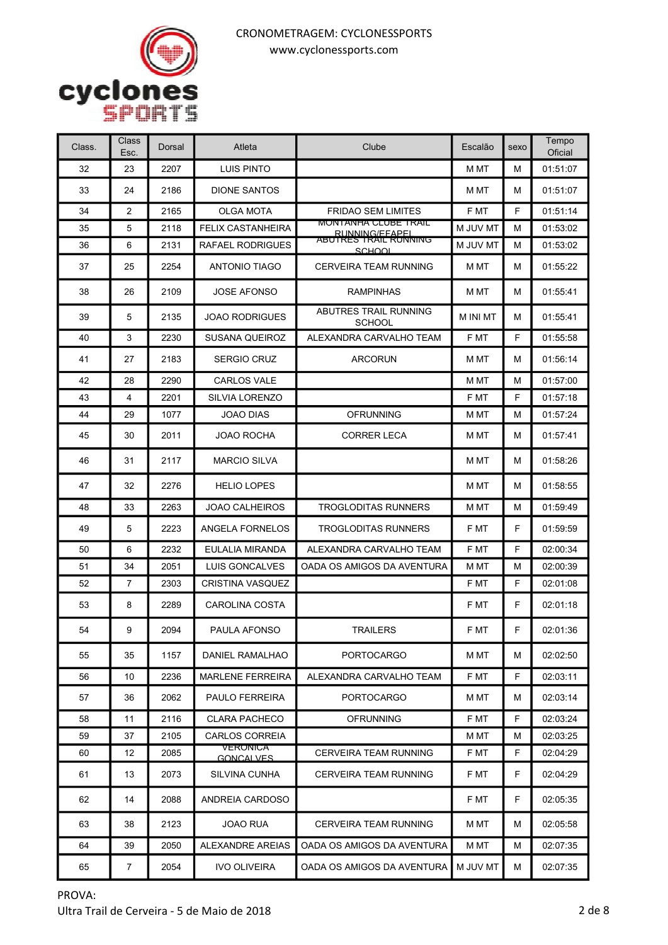

| Class. | Class<br>Esc.  | Dorsal | Atleta                       | Clube                                         | Escalão         | sexo | Tempo<br>Oficial |
|--------|----------------|--------|------------------------------|-----------------------------------------------|-----------------|------|------------------|
| 32     | 23             | 2207   | <b>LUIS PINTO</b>            |                                               | M MT            | М    | 01:51:07         |
| 33     | 24             | 2186   | <b>DIONE SANTOS</b>          |                                               | M MT            | М    | 01:51:07         |
| 34     | $\overline{2}$ | 2165   | <b>OLGA MOTA</b>             | <b>FRIDAO SEM LIMITES</b>                     | F MT            | F    | 01:51:14         |
| 35     | 5              | 2118   | <b>FELIX CASTANHEIRA</b>     | <b>MONTANHA CLUBE TRAIL</b><br>RUNNING/FFAPFI | M JUV MT        | М    | 01:53:02         |
| 36     | 6              | 2131   | RAFAEL RODRIGUES             | ABUTRES TRAIL RUNNING<br>SCHOOL               | M JUV MT        | м    | 01:53:02         |
| 37     | 25             | 2254   | <b>ANTONIO TIAGO</b>         | <b>CERVEIRA TEAM RUNNING</b>                  | M MT            | м    | 01:55:22         |
| 38     | 26             | 2109   | <b>JOSE AFONSO</b>           | <b>RAMPINHAS</b>                              | M MT            | М    | 01:55:41         |
| 39     | 5              | 2135   | <b>JOAO RODRIGUES</b>        | ABUTRES TRAIL RUNNING<br><b>SCHOOL</b>        | <b>M INI MT</b> | м    | 01:55:41         |
| 40     | 3              | 2230   | SUSANA QUEIROZ               | ALEXANDRA CARVALHO TEAM                       | F MT            | F    | 01:55:58         |
| 41     | 27             | 2183   | <b>SERGIO CRUZ</b>           | <b>ARCORUN</b>                                | M MT            | м    | 01:56:14         |
| 42     | 28             | 2290   | <b>CARLOS VALE</b>           |                                               | M MT            | М    | 01:57:00         |
| 43     | 4              | 2201   | <b>SILVIA LORENZO</b>        |                                               | F MT            | F    | 01:57:18         |
| 44     | 29             | 1077   | <b>JOAO DIAS</b>             | <b>OFRUNNING</b>                              | M MT            | М    | 01:57:24         |
| 45     | 30             | 2011   | JOAO ROCHA                   | <b>CORRER LECA</b>                            | M MT            | М    | 01:57:41         |
| 46     | 31             | 2117   | <b>MARCIO SILVA</b>          |                                               | M MT            | м    | 01:58:26         |
| 47     | 32             | 2276   | <b>HELIO LOPES</b>           |                                               | M MT            | М    | 01:58:55         |
| 48     | 33             | 2263   | <b>JOAO CALHEIROS</b>        | <b>TROGLODITAS RUNNERS</b>                    | M MT            | М    | 01:59:49         |
| 49     | 5              | 2223   | ANGELA FORNELOS              | <b>TROGLODITAS RUNNERS</b>                    | F MT            | F    | 01:59:59         |
| 50     | 6              | 2232   | EULALIA MIRANDA              | ALEXANDRA CARVALHO TEAM                       | F MT            | F    | 02:00:34         |
| 51     | 34             | 2051   | LUIS GONCALVES               | OADA OS AMIGOS DA AVENTURA                    | M MT            | М    | 02:00:39         |
| 52     | 7              | 2303   | CRISTINA VASQUEZ             |                                               | F MT            | F    | 02:01:08         |
| 53     | 8              | 2289   | CAROLINA COSTA               |                                               | F MT            | F    | 02:01:18         |
| 54     | 9              | 2094   | PAULA AFONSO                 | <b>TRAILERS</b>                               | F MT            | F    | 02:01:36         |
| 55     | 35             | 1157   | <b>DANIEL RAMALHAO</b>       | <b>PORTOCARGO</b>                             | M MT            | М    | 02:02:50         |
| 56     | 10             | 2236   | <b>MARLENE FERREIRA</b>      | ALEXANDRA CARVALHO TEAM                       | F MT            | F.   | 02:03:11         |
| 57     | 36             | 2062   | PAULO FERREIRA               | <b>PORTOCARGO</b>                             | M MT            | м    | 02:03:14         |
| 58     | 11             | 2116   | <b>CLARA PACHECO</b>         | <b>OFRUNNING</b>                              | F MT            | F    | 02:03:24         |
| 59     | 37             | 2105   | <b>CARLOS CORREIA</b>        |                                               | M MT            | М    | 02:03:25         |
| 60     | 12             | 2085   | <b>VERONICA</b><br>GONCALVES | CERVEIRA TEAM RUNNING                         | F MT            | F    | 02:04:29         |
| 61     | 13             | 2073   | SILVINA CUNHA                | CERVEIRA TEAM RUNNING                         | F MT            | F.   | 02:04:29         |
| 62     | 14             | 2088   | ANDREIA CARDOSO              |                                               | F MT            | F.   | 02:05:35         |
| 63     | 38             | 2123   | JOAO RUA                     | CERVEIRA TEAM RUNNING                         | M MT            | м    | 02:05:58         |
| 64     | 39             | 2050   | ALEXANDRE AREIAS             | OADA OS AMIGOS DA AVENTURA                    | M MT            | м    | 02:07:35         |
| 65     | $\overline{7}$ | 2054   | <b>IVO OLIVEIRA</b>          | OADA OS AMIGOS DA AVENTURA                    | M JUV MT        | М    | 02:07:35         |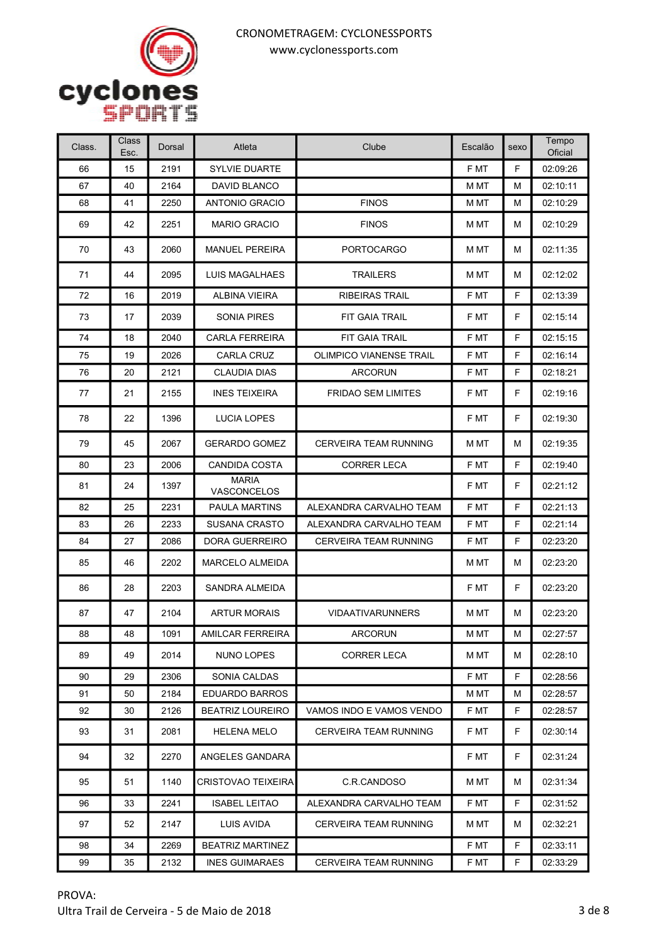

| Class. | Class<br>Esc. | Dorsal | Atleta                      | Clube                          | Escalão | sexo | Tempo<br>Oficial |
|--------|---------------|--------|-----------------------------|--------------------------------|---------|------|------------------|
| 66     | 15            | 2191   | <b>SYLVIE DUARTE</b>        |                                | F MT    | F    | 02:09:26         |
| 67     | 40            | 2164   | DAVID BLANCO                |                                | M MT    | М    | 02:10:11         |
| 68     | 41            | 2250   | ANTONIO GRACIO              | <b>FINOS</b>                   | M MT    | М    | 02:10:29         |
| 69     | 42            | 2251   | <b>MARIO GRACIO</b>         | <b>FINOS</b>                   | M MT    | м    | 02:10:29         |
| 70     | 43            | 2060   | <b>MANUEL PEREIRA</b>       | <b>PORTOCARGO</b>              | M MT    | М    | 02:11:35         |
| 71     | 44            | 2095   | LUIS MAGALHAES              | <b>TRAILERS</b>                | M MT    | М    | 02:12:02         |
| 72     | 16            | 2019   | ALBINA VIEIRA               | <b>RIBEIRAS TRAIL</b>          | F MT    | F    | 02:13:39         |
| 73     | 17            | 2039   | SONIA PIRES                 | FIT GAIA TRAIL                 | F MT    | F    | 02:15:14         |
| 74     | 18            | 2040   | <b>CARLA FERREIRA</b>       | FIT GAIA TRAIL                 | F MT    | F    | 02:15:15         |
| 75     | 19            | 2026   | <b>CARLA CRUZ</b>           | <b>OLIMPICO VIANENSE TRAIL</b> | F MT    | F    | 02:16:14         |
| 76     | 20            | 2121   | <b>CLAUDIA DIAS</b>         | <b>ARCORUN</b>                 | F MT    | F    | 02:18:21         |
| 77     | 21            | 2155   | <b>INES TEIXEIRA</b>        | <b>FRIDAO SEM LIMITES</b>      | F MT    | F.   | 02:19:16         |
| 78     | 22            | 1396   | LUCIA LOPES                 |                                | F MT    | F    | 02:19:30         |
| 79     | 45            | 2067   | <b>GERARDO GOMEZ</b>        | <b>CERVEIRA TEAM RUNNING</b>   | M MT    | М    | 02:19:35         |
| 80     | 23            | 2006   | <b>CANDIDA COSTA</b>        | <b>CORRER LECA</b>             | F MT    | F    | 02:19:40         |
| 81     | 24            | 1397   | <b>MARIA</b><br>VASCONCELOS |                                | F MT    | F    | 02:21:12         |
| 82     | 25            | 2231   | <b>PAULA MARTINS</b>        | ALEXANDRA CARVALHO TEAM        | F MT    | F    | 02:21:13         |
| 83     | 26            | 2233   | <b>SUSANA CRASTO</b>        | ALEXANDRA CARVALHO TEAM        | F MT    | F    | 02:21:14         |
| 84     | 27            | 2086   | DORA GUERREIRO              | <b>CERVEIRA TEAM RUNNING</b>   | F MT    | F    | 02:23:20         |
| 85     | 46            | 2202   | <b>MARCELO ALMEIDA</b>      |                                | M MT    | м    | 02:23:20         |
| 86     | 28            | 2203   | SANDRA ALMEIDA              |                                | F MT    | F    | 02:23:20         |
| 87     | 47            | 2104   | <b>ARTUR MORAIS</b>         | <b>VIDAATIVARUNNERS</b>        | M MT    | М    | 02:23:20         |
| 88     | 48            | 1091   | AMILCAR FERREIRA            | <b>ARCORUN</b>                 | M MT    | М    | 02:27:57         |
| 89     | 49            | 2014   | NUNO LOPES                  | <b>CORRER LECA</b>             | M MT    | м    | 02:28:10         |
| 90     | 29            | 2306   | SONIA CALDAS                |                                | F MT    | F    | 02:28:56         |
| 91     | 50            | 2184   | <b>EDUARDO BARROS</b>       |                                | M MT    | М    | 02:28:57         |
| 92     | 30            | 2126   | <b>BEATRIZ LOUREIRO</b>     | VAMOS INDO E VAMOS VENDO       | F MT    | F.   | 02:28:57         |
| 93     | 31            | 2081   | <b>HELENA MELO</b>          | <b>CERVEIRA TEAM RUNNING</b>   | F MT    | F    | 02:30:14         |
| 94     | 32            | 2270   | ANGELES GANDARA             |                                | F MT    | F.   | 02:31:24         |
| 95     | 51            | 1140   | <b>CRISTOVAO TEIXEIRA</b>   | C.R.CANDOSO                    | M MT    | м    | 02:31:34         |
| 96     | 33            | 2241   | <b>ISABEL LEITAO</b>        | ALEXANDRA CARVALHO TEAM        | F MT    | F.   | 02:31:52         |
| 97     | 52            | 2147   | LUIS AVIDA                  | <b>CERVEIRA TEAM RUNNING</b>   | M MT    | м    | 02:32:21         |
| 98     | 34            | 2269   | <b>BEATRIZ MARTINEZ</b>     |                                | F MT    | F    | 02:33:11         |
| 99     | 35            | 2132   | <b>INES GUIMARAES</b>       | CERVEIRA TEAM RUNNING          | F MT    | F    | 02:33:29         |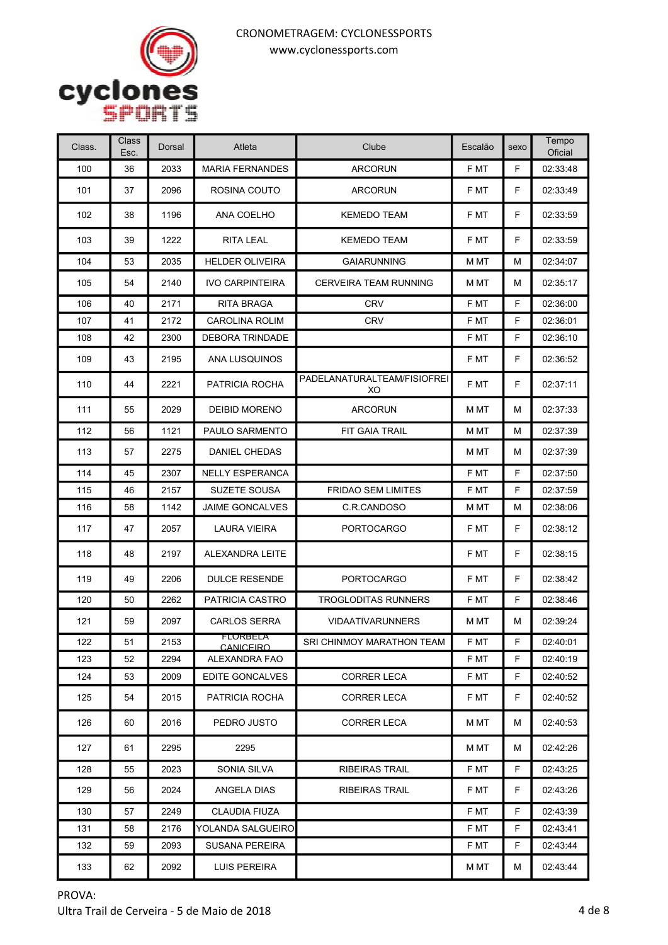

| Class. | Class<br>Esc. | Dorsal | Atleta                       | Clube                             | Escalão | sexo | Tempo<br>Oficial |
|--------|---------------|--------|------------------------------|-----------------------------------|---------|------|------------------|
| 100    | 36            | 2033   | <b>MARIA FERNANDES</b>       | <b>ARCORUN</b>                    | F MT    | F    | 02:33:48         |
| 101    | 37            | 2096   | ROSINA COUTO                 | <b>ARCORUN</b>                    | F MT    | F.   | 02:33:49         |
| 102    | 38            | 1196   | ANA COELHO                   | <b>KEMEDO TEAM</b>                | F MT    | F    | 02:33:59         |
| 103    | 39            | 1222   | RITA LEAL                    | <b>KEMEDO TEAM</b>                | F MT    | F    | 02:33:59         |
| 104    | 53            | 2035   | <b>HELDER OLIVEIRA</b>       | <b>GAIARUNNING</b>                | M MT    | М    | 02:34:07         |
| 105    | 54            | 2140   | <b>IVO CARPINTEIRA</b>       | <b>CERVEIRA TEAM RUNNING</b>      | M MT    | М    | 02:35:17         |
| 106    | 40            | 2171   | RITA BRAGA                   | <b>CRV</b>                        | F MT    | F    | 02:36:00         |
| 107    | 41            | 2172   | <b>CAROLINA ROLIM</b>        | <b>CRV</b>                        | F MT    | F    | 02:36:01         |
| 108    | 42            | 2300   | DEBORA TRINDADE              |                                   | F MT    | F    | 02:36:10         |
| 109    | 43            | 2195   | ANA LUSQUINOS                |                                   | F MT    | F    | 02:36:52         |
| 110    | 44            | 2221   | PATRICIA ROCHA               | PADELANATURALTEAM/FISIOFREI<br>XO | F MT    | F    | 02:37:11         |
| 111    | 55            | 2029   | DEIBID MORENO                | <b>ARCORUN</b>                    | M MT    | М    | 02:37:33         |
| 112    | 56            | 1121   | PAULO SARMENTO               | FIT GAIA TRAIL                    | M MT    | М    | 02:37:39         |
| 113    | 57            | 2275   | DANIEL CHEDAS                |                                   | M MT    | М    | 02:37:39         |
| 114    | 45            | 2307   | <b>NELLY ESPERANCA</b>       |                                   | F MT    | F    | 02:37:50         |
| 115    | 46            | 2157   | SUZETE SOUSA                 | <b>FRIDAO SEM LIMITES</b>         | F MT    | F    | 02:37:59         |
| 116    | 58            | 1142   | <b>JAIME GONCALVES</b>       | C.R.CANDOSO                       | M MT    | М    | 02:38:06         |
| 117    | 47            | 2057   | LAURA VIEIRA                 | <b>PORTOCARGO</b>                 | F MT    | F    | 02:38:12         |
| 118    | 48            | 2197   | ALEXANDRA LEITE              |                                   | F MT    | F.   | 02:38:15         |
| 119    | 49            | 2206   | <b>DULCE RESENDE</b>         | <b>PORTOCARGO</b>                 | F MT    | F    | 02:38:42         |
| 120    | 50            | 2262   | PATRICIA CASTRO              | <b>TROGLODITAS RUNNERS</b>        | F MT    | F    | 02:38:46         |
| 121    | 59            | 2097   | <b>CARLOS SERRA</b>          | <b>VIDAATIVARUNNERS</b>           | M MT    | м    | 02:39:24         |
| 122    | 51            | 2153   | FLORBELA<br><b>CANICEIRO</b> | SRI CHINMOY MARATHON TEAM         | F MT    | F    | 02:40:01         |
| 123    | 52            | 2294   | ALEXANDRA FAO                |                                   | F MT    | F    | 02:40:19         |
| 124    | 53            | 2009   | EDITE GONCALVES              | <b>CORRER LECA</b>                | F MT    | F.   | 02:40:52         |
| 125    | 54            | 2015   | PATRICIA ROCHA               | <b>CORRER LECA</b>                | F MT    | F.   | 02:40:52         |
| 126    | 60            | 2016   | PEDRO JUSTO                  | <b>CORRER LECA</b>                | M MT    | м    | 02:40:53         |
| 127    | 61            | 2295   | 2295                         |                                   | M MT    | м    | 02:42:26         |
| 128    | 55            | 2023   | SONIA SILVA                  | RIBEIRAS TRAIL                    | F MT    | F    | 02:43:25         |
| 129    | 56            | 2024   | ANGELA DIAS                  | RIBEIRAS TRAIL                    | F MT    | F.   | 02:43:26         |
| 130    | 57            | 2249   | CLAUDIA FIUZA                |                                   | F MT    | F    | 02:43:39         |
| 131    | 58            | 2176   | YOLANDA SALGUEIRO            |                                   | F MT    | F    | 02:43:41         |
| 132    | 59            | 2093   | <b>SUSANA PEREIRA</b>        |                                   | F MT    | F.   | 02:43:44         |
| 133    | 62            | 2092   | LUIS PEREIRA                 |                                   | M MT    | м    | 02:43:44         |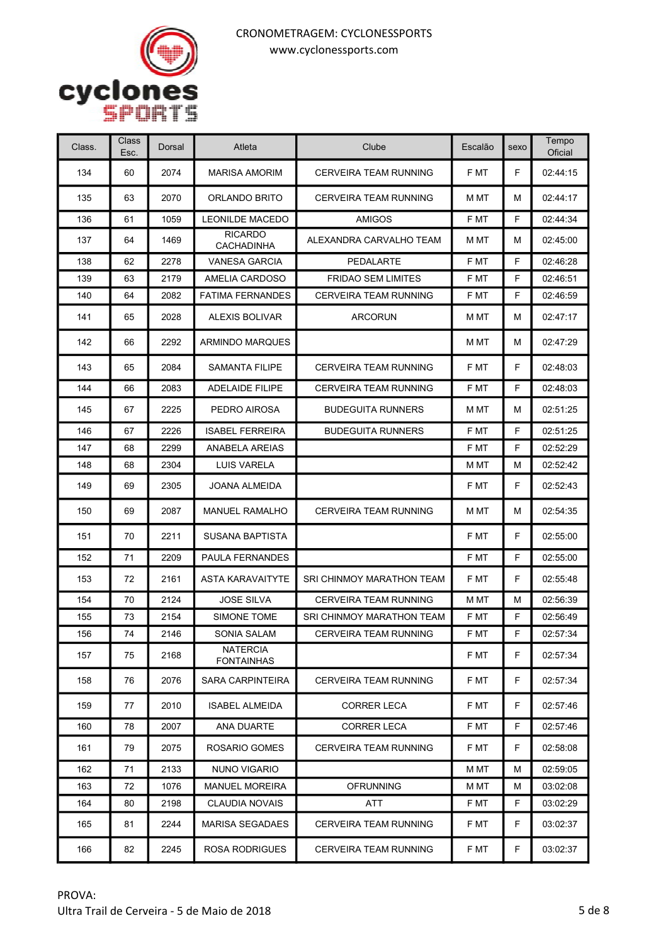

| Class. | Class<br>Esc. | Dorsal | Atleta                               | Clube                        | Escalão | sexo | Tempo<br>Oficial |
|--------|---------------|--------|--------------------------------------|------------------------------|---------|------|------------------|
| 134    | 60            | 2074   | <b>MARISA AMORIM</b>                 | CERVEIRA TEAM RUNNING        | F MT    | F    | 02:44:15         |
| 135    | 63            | 2070   | ORLANDO BRITO                        | <b>CERVEIRA TEAM RUNNING</b> | M MT    | м    | 02:44:17         |
| 136    | 61            | 1059   | <b>LEONILDE MACEDO</b>               | <b>AMIGOS</b>                | F MT    | F    | 02:44:34         |
| 137    | 64            | 1469   | <b>RICARDO</b><br><b>CACHADINHA</b>  | ALEXANDRA CARVALHO TEAM      | M MT    | м    | 02:45:00         |
| 138    | 62            | 2278   | <b>VANESA GARCIA</b>                 | PEDALARTE                    | F MT    | F    | 02:46:28         |
| 139    | 63            | 2179   | AMELIA CARDOSO                       | <b>FRIDAO SEM LIMITES</b>    | F MT    | F    | 02:46:51         |
| 140    | 64            | 2082   | <b>FATIMA FERNANDES</b>              | CERVEIRA TEAM RUNNING        | F MT    | F    | 02:46:59         |
| 141    | 65            | 2028   | ALEXIS BOLIVAR                       | ARCORUN                      | M MT    | м    | 02:47:17         |
| 142    | 66            | 2292   | <b>ARMINDO MARQUES</b>               |                              | M MT    | М    | 02:47:29         |
| 143    | 65            | 2084   | <b>SAMANTA FILIPE</b>                | <b>CERVEIRA TEAM RUNNING</b> | F MT    | F.   | 02:48:03         |
| 144    | 66            | 2083   | <b>ADELAIDE FILIPE</b>               | CERVEIRA TEAM RUNNING        | F MT    | F    | 02:48:03         |
| 145    | 67            | 2225   | PEDRO AIROSA                         | <b>BUDEGUITA RUNNERS</b>     | M MT    | М    | 02:51:25         |
| 146    | 67            | 2226   | <b>ISABEL FERREIRA</b>               | <b>BUDEGUITA RUNNERS</b>     | F MT    | F    | 02:51:25         |
| 147    | 68            | 2299   | ANABELA AREIAS                       |                              | F MT    | F    | 02:52:29         |
| 148    | 68            | 2304   | LUIS VARELA                          |                              | M MT    | м    | 02:52:42         |
| 149    | 69            | 2305   | <b>JOANA ALMEIDA</b>                 |                              | F MT    | F    | 02:52:43         |
| 150    | 69            | 2087   | <b>MANUEL RAMALHO</b>                | <b>CERVEIRA TEAM RUNNING</b> | M MT    | М    | 02:54:35         |
| 151    | 70            | 2211   | <b>SUSANA BAPTISTA</b>               |                              | F MT    | F    | 02:55:00         |
| 152    | 71            | 2209   | PAULA FERNANDES                      |                              | F MT    | F    | 02:55:00         |
| 153    | 72            | 2161   | <b>ASTA KARAVAITYTE</b>              | SRI CHINMOY MARATHON TEAM    | F MT    | F    | 02:55:48         |
| 154    | 70            | 2124   | <b>JOSE SILVA</b>                    | <b>CERVEIRA TEAM RUNNING</b> | M MT    | М    | 02:56:39         |
| 155    | 73            | 2154   | <b>SIMONE TOME</b>                   | SRI CHINMOY MARATHON TEAM    | F MT    | F    | 02:56:49         |
| 156    | 74            | 2146   | SONIA SALAM                          | CERVEIRA TEAM RUNNING        | F MT    | F    | 02:57:34         |
| 157    | 75            | 2168   | <b>NATERCIA</b><br><b>FONTAINHAS</b> |                              | F MT    | F    | 02:57:34         |
| 158    | 76            | 2076   | SARA CARPINTEIRA                     | CERVEIRA TEAM RUNNING        | F MT    | F.   | 02:57:34         |
| 159    | 77            | 2010   | <b>ISABEL ALMEIDA</b>                | <b>CORRER LECA</b>           | F MT    | F    | 02:57:46         |
| 160    | 78            | 2007   | ANA DUARTE                           | <b>CORRER LECA</b>           | F MT    | F.   | 02:57:46         |
| 161    | 79            | 2075   | ROSARIO GOMES                        | <b>CERVEIRA TEAM RUNNING</b> | F MT    | F.   | 02:58:08         |
| 162    | 71            | 2133   | NUNO VIGARIO                         |                              | M MT    | М    | 02:59:05         |
| 163    | 72            | 1076   | <b>MANUEL MOREIRA</b>                | <b>OFRUNNING</b>             | M MT    | М    | 03:02:08         |
| 164    | 80            | 2198   | CLAUDIA NOVAIS                       | ATT                          | F MT    | F    | 03:02:29         |
| 165    | 81            | 2244   | <b>MARISA SEGADAES</b>               | <b>CERVEIRA TEAM RUNNING</b> | F MT    | F    | 03:02:37         |
| 166    | 82            | 2245   | <b>ROSA RODRIGUES</b>                | CERVEIRA TEAM RUNNING        | F MT    | F    | 03:02:37         |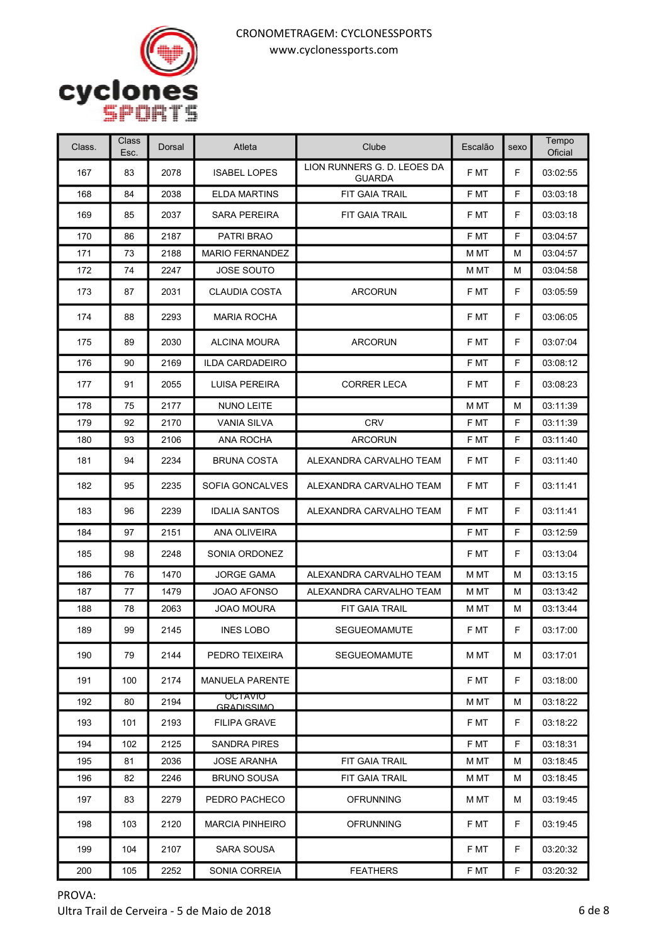

| Class. | Class<br>Esc. | Dorsal | Atleta                              | Clube                                        | Escalão | sexo | Tempo<br>Oficial |
|--------|---------------|--------|-------------------------------------|----------------------------------------------|---------|------|------------------|
| 167    | 83            | 2078   | <b>ISABEL LOPES</b>                 | LION RUNNERS G. D. LEOES DA<br><b>GUARDA</b> | F MT    | F.   | 03:02:55         |
| 168    | 84            | 2038   | <b>ELDA MARTINS</b>                 | <b>FIT GAIA TRAIL</b>                        | F MT    | F    | 03:03:18         |
| 169    | 85            | 2037   | <b>SARA PEREIRA</b>                 | FIT GAIA TRAIL                               | F MT    | F    | 03:03:18         |
| 170    | 86            | 2187   | PATRI BRAO                          |                                              | F MT    | F    | 03:04:57         |
| 171    | 73            | 2188   | <b>MARIO FERNANDEZ</b>              |                                              | M MT    | М    | 03:04:57         |
| 172    | 74            | 2247   | <b>JOSE SOUTO</b>                   |                                              | M MT    | М    | 03:04:58         |
| 173    | 87            | 2031   | <b>CLAUDIA COSTA</b>                | <b>ARCORUN</b>                               | F MT    | F    | 03:05:59         |
| 174    | 88            | 2293   | <b>MARIA ROCHA</b>                  |                                              | F MT    | F    | 03:06:05         |
| 175    | 89            | 2030   | <b>ALCINA MOURA</b>                 | <b>ARCORUN</b>                               | F MT    | F    | 03:07:04         |
| 176    | 90            | 2169   | <b>ILDA CARDADEIRO</b>              |                                              | F MT    | F    | 03:08:12         |
| 177    | 91            | 2055   | <b>LUISA PEREIRA</b>                | <b>CORRER LECA</b>                           | F MT    | F.   | 03:08:23         |
| 178    | 75            | 2177   | NUNO LEITE                          |                                              | M MT    | м    | 03:11:39         |
| 179    | 92            | 2170   | <b>VANIA SILVA</b>                  | <b>CRV</b>                                   | F MT    | F    | 03:11:39         |
| 180    | 93            | 2106   | ANA ROCHA                           | <b>ARCORUN</b>                               | F MT    | F    | 03:11:40         |
| 181    | 94            | 2234   | <b>BRUNA COSTA</b>                  | ALEXANDRA CARVALHO TEAM                      | F MT    | F    | 03:11:40         |
| 182    | 95            | 2235   | SOFIA GONCALVES                     | ALEXANDRA CARVALHO TEAM                      | F MT    | F.   | 03:11:41         |
| 183    | 96            | 2239   | <b>IDALIA SANTOS</b>                | ALEXANDRA CARVALHO TEAM                      | F MT    | F    | 03:11:41         |
| 184    | 97            | 2151   | ANA OLIVEIRA                        |                                              | F MT    | F    | 03:12:59         |
| 185    | 98            | 2248   | SONIA ORDONEZ                       |                                              | F MT    | F    | 03:13:04         |
| 186    | 76            | 1470   | <b>JORGE GAMA</b>                   | ALEXANDRA CARVALHO TEAM                      | M MT    | М    | 03:13:15         |
| 187    | 77            | 1479   | JOAO AFONSO                         | ALEXANDRA CARVALHO TEAM                      | M MT    | М    | 03:13:42         |
| 188    | 78            | 2063   | JOAO MOURA                          | FIT GAIA TRAIL                               | M MT    | М    | 03:13:44         |
| 189    | 99            | 2145   | <b>INES LOBO</b>                    | <b>SEGUEOMAMUTE</b>                          | F MT    | F    | 03:17:00         |
| 190    | 79            | 2144   | PEDRO TEIXEIRA                      | <b>SEGUEOMAMUTE</b>                          | M MT    | м    | 03:17:01         |
| 191    | 100           | 2174   | <b>MANUELA PARENTE</b>              |                                              | F MT    | F.   | 03:18:00         |
| 192    | 80            | 2194   | <b>OCTAVIO</b><br><b>GRADISSIMO</b> |                                              | M MT    | М    | 03:18:22         |
| 193    | 101           | 2193   | <b>FILIPA GRAVE</b>                 |                                              | F MT    | F    | 03:18:22         |
| 194    | 102           | 2125   | <b>SANDRA PIRES</b>                 |                                              | F MT    | F    | 03:18:31         |
| 195    | 81            | 2036   | <b>JOSE ARANHA</b>                  | <b>FIT GAIA TRAIL</b>                        | M MT    | М    | 03:18:45         |
| 196    | 82            | 2246   | <b>BRUNO SOUSA</b>                  | FIT GAIA TRAIL                               | M MT    | М    | 03:18:45         |
| 197    | 83            | 2279   | PEDRO PACHECO                       | <b>OFRUNNING</b>                             | M MT    | м    | 03:19:45         |
| 198    | 103           | 2120   | <b>MARCIA PINHEIRO</b>              | <b>OFRUNNING</b>                             | F MT    | F.   | 03:19:45         |
| 199    | 104           | 2107   | SARA SOUSA                          |                                              | F MT    | F    | 03:20:32         |
| 200    | 105           | 2252   | SONIA CORREIA                       | <b>FEATHERS</b>                              | F MT    | F    | 03:20:32         |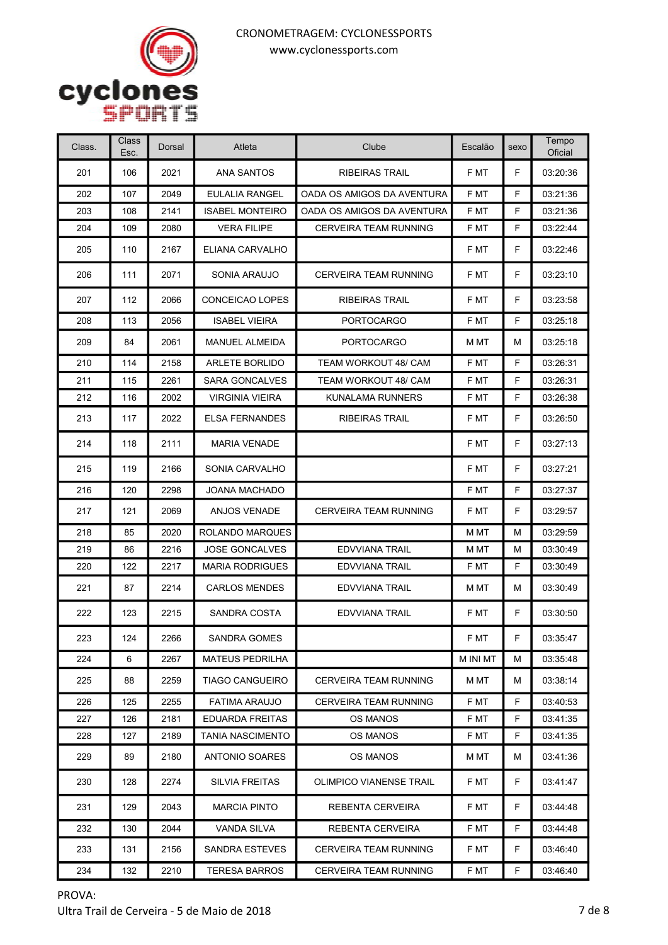

| Class. | Class<br>Esc. | Dorsal | Atleta                  | Clube                          | Escalão  | sexo | Tempo<br>Oficial |
|--------|---------------|--------|-------------------------|--------------------------------|----------|------|------------------|
| 201    | 106           | 2021   | ANA SANTOS              | <b>RIBEIRAS TRAIL</b>          | F MT     | F    | 03:20:36         |
| 202    | 107           | 2049   | EULALIA RANGEL          | OADA OS AMIGOS DA AVENTURA     | F MT     | F    | 03:21:36         |
| 203    | 108           | 2141   | <b>ISABEL MONTEIRO</b>  | OADA OS AMIGOS DA AVENTURA     | F MT     | F    | 03:21:36         |
| 204    | 109           | 2080   | <b>VERA FILIPE</b>      | CERVEIRA TEAM RUNNING          | F MT     | F    | 03:22:44         |
| 205    | 110           | 2167   | ELIANA CARVALHO         |                                | F MT     | F.   | 03:22:46         |
| 206    | 111           | 2071   | SONIA ARAUJO            | <b>CERVEIRA TEAM RUNNING</b>   | F MT     | F    | 03:23:10         |
| 207    | 112           | 2066   | CONCEICAO LOPES         | <b>RIBEIRAS TRAIL</b>          | F MT     | F.   | 03:23:58         |
| 208    | 113           | 2056   | <b>ISABEL VIEIRA</b>    | <b>PORTOCARGO</b>              | F MT     | F    | 03:25:18         |
| 209    | 84            | 2061   | <b>MANUEL ALMEIDA</b>   | <b>PORTOCARGO</b>              | M MT     | м    | 03:25:18         |
| 210    | 114           | 2158   | <b>ARLETE BORLIDO</b>   | TEAM WORKOUT 48/ CAM           | F MT     | F    | 03:26:31         |
| 211    | 115           | 2261   | <b>SARA GONCALVES</b>   | TEAM WORKOUT 48/ CAM           | F MT     | F    | 03:26:31         |
| 212    | 116           | 2002   | <b>VIRGINIA VIEIRA</b>  | <b>KUNALAMA RUNNERS</b>        | F MT     | F    | 03:26:38         |
| 213    | 117           | 2022   | <b>ELSA FERNANDES</b>   | <b>RIBEIRAS TRAIL</b>          | F MT     | F    | 03:26:50         |
| 214    | 118           | 2111   | <b>MARIA VENADE</b>     |                                | F MT     | F    | 03:27:13         |
| 215    | 119           | 2166   | SONIA CARVALHO          |                                | F MT     | F    | 03:27:21         |
| 216    | 120           | 2298   | JOANA MACHADO           |                                | F MT     | F    | 03:27:37         |
| 217    | 121           | 2069   | <b>ANJOS VENADE</b>     | CERVEIRA TEAM RUNNING          | F MT     | F    | 03:29:57         |
| 218    | 85            | 2020   | <b>ROLANDO MARQUES</b>  |                                | M MT     | М    | 03:29:59         |
| 219    | 86            | 2216   | <b>JOSE GONCALVES</b>   | <b>EDVVIANA TRAIL</b>          | M MT     | М    | 03:30:49         |
| 220    | 122           | 2217   | <b>MARIA RODRIGUES</b>  | <b>EDVVIANA TRAIL</b>          | F MT     | F    | 03:30:49         |
| 221    | 87            | 2214   | <b>CARLOS MENDES</b>    | <b>EDVVIANA TRAIL</b>          | M MT     | М    | 03:30:49         |
| 222    | 123           | 2215   | SANDRA COSTA            | <b>EDVVIANA TRAIL</b>          | F MT     | F.   | 03:30:50         |
| 223    | 124           | 2266   | <b>SANDRA GOMES</b>     |                                | F MT     | F    | 03:35:47         |
| 224    | 6             | 2267   | MATEUS PEDRILHA         |                                | M INI MT | м    | 03:35:48         |
| 225    | 88            | 2259   | <b>TIAGO CANGUEIRO</b>  | CERVEIRA TEAM RUNNING          | M MT     | м    | 03:38:14         |
| 226    | 125           | 2255   | <b>FATIMA ARAUJO</b>    | <b>CERVEIRA TEAM RUNNING</b>   | F MT     | F    | 03:40:53         |
| 227    | 126           | 2181   | EDUARDA FREITAS         | <b>OS MANOS</b>                | F MT     | F    | 03:41:35         |
| 228    | 127           | 2189   | <b>TANIA NASCIMENTO</b> | OS MANOS                       | F MT     | F    | 03:41:35         |
| 229    | 89            | 2180   | <b>ANTONIO SOARES</b>   | OS MANOS                       | M MT     | м    | 03:41:36         |
| 230    | 128           | 2274   | <b>SILVIA FREITAS</b>   | <b>OLIMPICO VIANENSE TRAIL</b> | F MT     | F    | 03:41:47         |
| 231    | 129           | 2043   | <b>MARCIA PINTO</b>     | REBENTA CERVEIRA               | F MT     | F.   | 03:44:48         |
| 232    | 130           | 2044   | VANDA SILVA             | REBENTA CERVEIRA               | F MT     | F    | 03:44:48         |
| 233    | 131           | 2156   | SANDRA ESTEVES          | CERVEIRA TEAM RUNNING          | F MT     | F    | 03:46:40         |
| 234    | 132           | 2210   | TERESA BARROS           | CERVEIRA TEAM RUNNING          | F MT     | F.   | 03:46:40         |